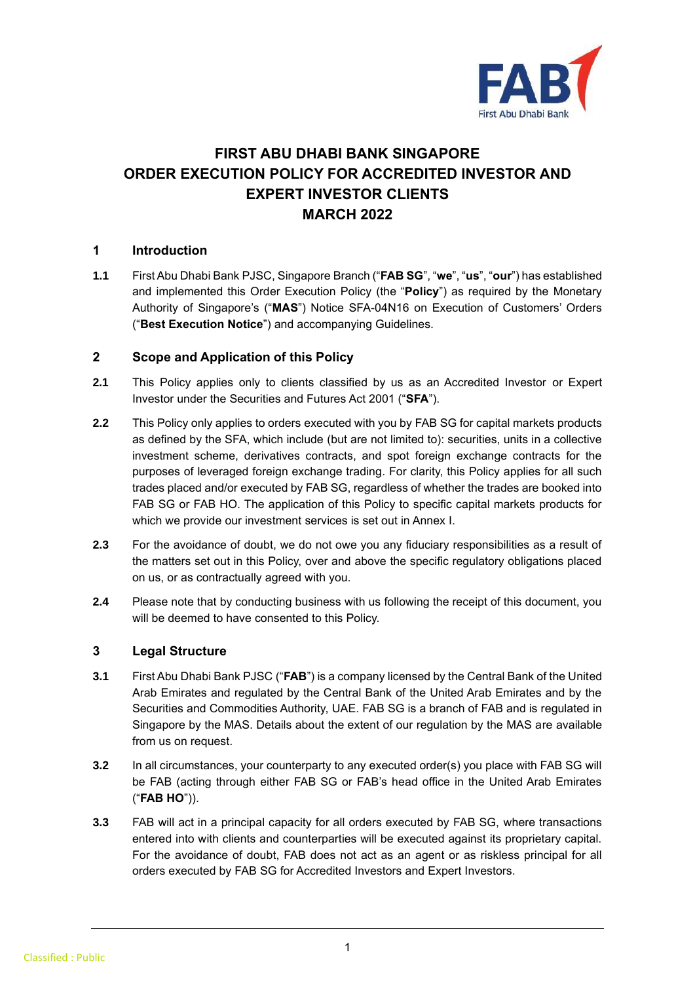

# **FIRST ABU DHABI BANK SINGAPORE ORDER EXECUTION POLICY FOR ACCREDITED INVESTOR AND EXPERT INVESTOR CLIENTS MARCH 2022**

# **1 Introduction**

**1.1** First Abu Dhabi Bank PJSC, Singapore Branch ("**FAB SG**", "**we**", "**us**", "**our**") has established and implemented this Order Execution Policy (the "**Policy**") as required by the Monetary Authority of Singapore's ("**MAS**") Notice SFA-04N16 on Execution of Customers' Orders ("**Best Execution Notice**") and accompanying Guidelines.

#### **2 Scope and Application of this Policy**

- **2.1** This Policy applies only to clients classified by us as an Accredited Investor or Expert Investor under the Securities and Futures Act 2001 ("**SFA**").
- **2.2** This Policy only applies to orders executed with you by FAB SG for capital markets products as defined by the SFA, which include (but are not limited to): securities, units in a collective investment scheme, derivatives contracts, and spot foreign exchange contracts for the purposes of leveraged foreign exchange trading. For clarity, this Policy applies for all such trades placed and/or executed by FAB SG, regardless of whether the trades are booked into FAB SG or FAB HO. The application of this Policy to specific capital markets products for which we provide our investment services is set out in Annex I.
- **2.3** For the avoidance of doubt, we do not owe you any fiduciary responsibilities as a result of the matters set out in this Policy, over and above the specific regulatory obligations placed on us, or as contractually agreed with you.
- **2.4** Please note that by conducting business with us following the receipt of this document, you will be deemed to have consented to this Policy.

# **3 Legal Structure**

- **3.1** First Abu Dhabi Bank PJSC ("**FAB**") is a company licensed by the Central Bank of the United Arab Emirates and regulated by the Central Bank of the United Arab Emirates and by the Securities and Commodities Authority, UAE. FAB SG is a branch of FAB and is regulated in Singapore by the MAS. Details about the extent of our regulation by the MAS are available from us on request.
- **3.2** In all circumstances, your counterparty to any executed order(s) you place with FAB SG will be FAB (acting through either FAB SG or FAB's head office in the United Arab Emirates ("**FAB HO**")).
- **3.3** FAB will act in a principal capacity for all orders executed by FAB SG, where transactions entered into with clients and counterparties will be executed against its proprietary capital. For the avoidance of doubt, FAB does not act as an agent or as riskless principal for all orders executed by FAB SG for Accredited Investors and Expert Investors.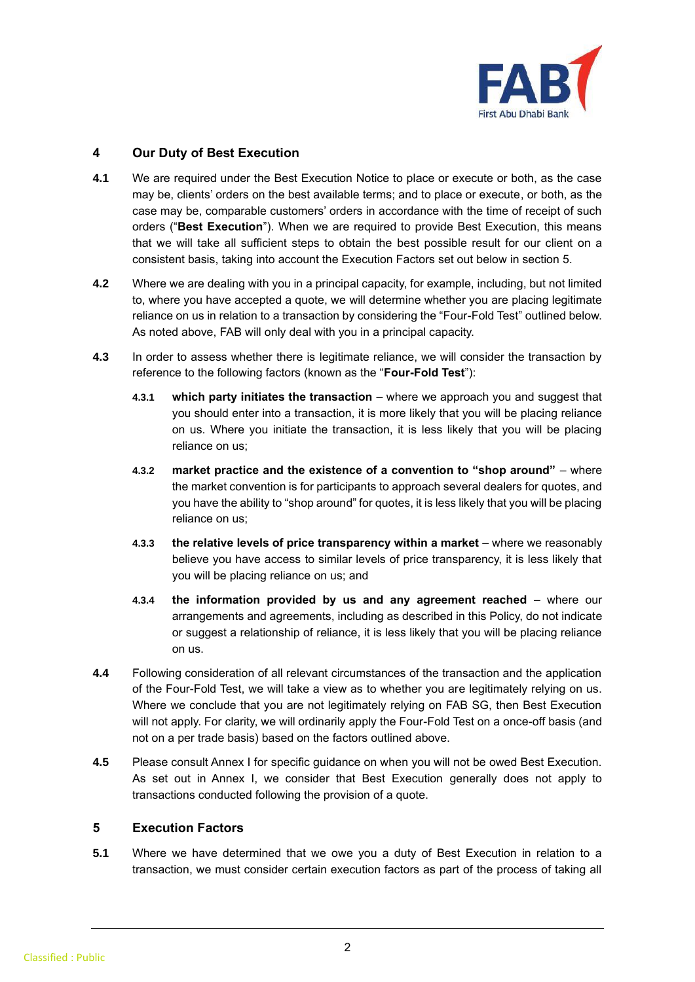

### **4 Our Duty of Best Execution**

- **4.1** We are required under the Best Execution Notice to place or execute or both, as the case may be, clients' orders on the best available terms; and to place or execute, or both, as the case may be, comparable customers' orders in accordance with the time of receipt of such orders ("**Best Execution**"). When we are required to provide Best Execution, this means that we will take all sufficient steps to obtain the best possible result for our client on a consistent basis, taking into account the Execution Factors set out below in section 5.
- **4.2** Where we are dealing with you in a principal capacity, for example, including, but not limited to, where you have accepted a quote, we will determine whether you are placing legitimate reliance on us in relation to a transaction by considering the "Four-Fold Test" outlined below. As noted above, FAB will only deal with you in a principal capacity.
- **4.3** In order to assess whether there is legitimate reliance, we will consider the transaction by reference to the following factors (known as the "**Four-Fold Test**"):
	- **4.3.1** which party initiates the transaction where we approach you and suggest that you should enter into a transaction, it is more likely that you will be placing reliance on us. Where you initiate the transaction, it is less likely that you will be placing reliance on us;
	- **4.3.2 market practice and the existence of a convention to "shop around"**  where the market convention is for participants to approach several dealers for quotes, and you have the ability to "shop around" for quotes, it is less likely that you will be placing reliance on us;
	- **4.3.3 the relative levels of price transparency within a market** where we reasonably believe you have access to similar levels of price transparency, it is less likely that you will be placing reliance on us; and
	- **4.3.4 the information provided by us and any agreement reached**  where our arrangements and agreements, including as described in this Policy, do not indicate or suggest a relationship of reliance, it is less likely that you will be placing reliance on us.
- **4.4** Following consideration of all relevant circumstances of the transaction and the application of the Four-Fold Test, we will take a view as to whether you are legitimately relying on us. Where we conclude that you are not legitimately relying on FAB SG, then Best Execution will not apply. For clarity, we will ordinarily apply the Four-Fold Test on a once-off basis (and not on a per trade basis) based on the factors outlined above.
- **4.5** Please consult Annex I for specific guidance on when you will not be owed Best Execution. As set out in Annex I, we consider that Best Execution generally does not apply to transactions conducted following the provision of a quote.

#### **5 Execution Factors**

**5.1** Where we have determined that we owe you a duty of Best Execution in relation to a transaction, we must consider certain execution factors as part of the process of taking all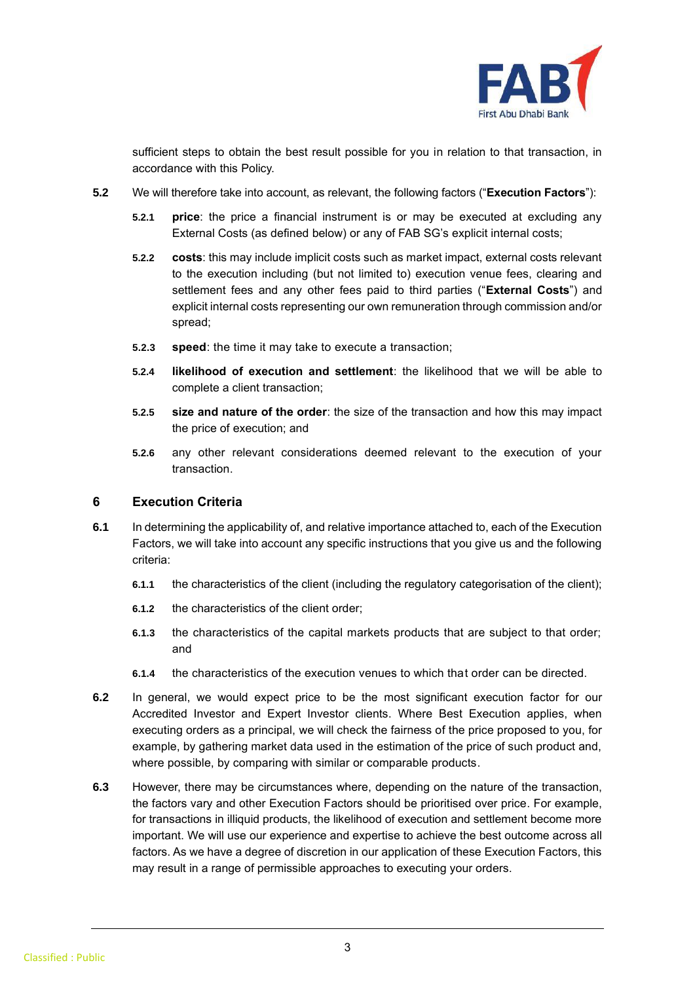

sufficient steps to obtain the best result possible for you in relation to that transaction, in accordance with this Policy.

- **5.2** We will therefore take into account, as relevant, the following factors ("**Execution Factors**"):
	- **5.2.1 price**: the price a financial instrument is or may be executed at excluding any External Costs (as defined below) or any of FAB SG's explicit internal costs;
	- **5.2.2 costs**: this may include implicit costs such as market impact, external costs relevant to the execution including (but not limited to) execution venue fees, clearing and settlement fees and any other fees paid to third parties ("**External Costs**") and explicit internal costs representing our own remuneration through commission and/or spread;
	- **5.2.3 speed**: the time it may take to execute a transaction;
	- **5.2.4 likelihood of execution and settlement**: the likelihood that we will be able to complete a client transaction;
	- **5.2.5 size and nature of the order**: the size of the transaction and how this may impact the price of execution; and
	- **5.2.6** any other relevant considerations deemed relevant to the execution of your transaction.

#### **6 Execution Criteria**

- **6.1** In determining the applicability of, and relative importance attached to, each of the Execution Factors, we will take into account any specific instructions that you give us and the following criteria:
	- **6.1.1** the characteristics of the client (including the regulatory categorisation of the client);
	- **6.1.2** the characteristics of the client order;
	- **6.1.3** the characteristics of the capital markets products that are subject to that order; and
	- **6.1.4** the characteristics of the execution venues to which that order can be directed.
- **6.2** In general, we would expect price to be the most significant execution factor for our Accredited Investor and Expert Investor clients. Where Best Execution applies, when executing orders as a principal, we will check the fairness of the price proposed to you, for example, by gathering market data used in the estimation of the price of such product and, where possible, by comparing with similar or comparable products.
- **6.3** However, there may be circumstances where, depending on the nature of the transaction, the factors vary and other Execution Factors should be prioritised over price. For example, for transactions in illiquid products, the likelihood of execution and settlement become more important. We will use our experience and expertise to achieve the best outcome across all factors. As we have a degree of discretion in our application of these Execution Factors, this may result in a range of permissible approaches to executing your orders.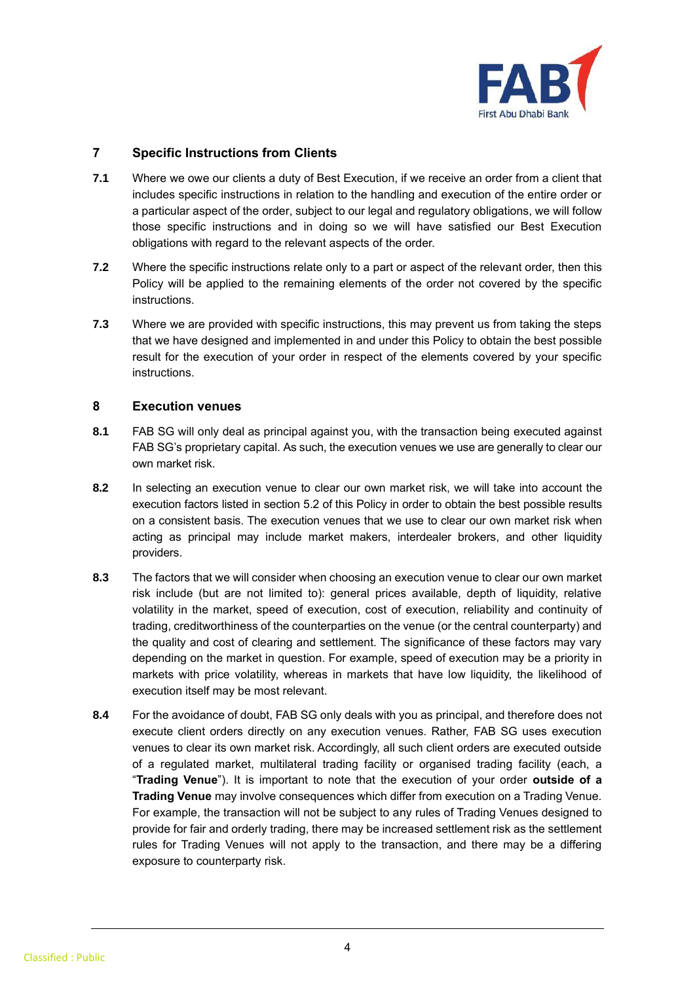

# **7 Specific Instructions from Clients**

- **7.1** Where we owe our clients a duty of Best Execution, if we receive an order from a client that includes specific instructions in relation to the handling and execution of the entire order or a particular aspect of the order, subject to our legal and regulatory obligations, we will follow those specific instructions and in doing so we will have satisfied our Best Execution obligations with regard to the relevant aspects of the order.
- **7.2** Where the specific instructions relate only to a part or aspect of the relevant order, then this Policy will be applied to the remaining elements of the order not covered by the specific instructions.
- **7.3** Where we are provided with specific instructions, this may prevent us from taking the steps that we have designed and implemented in and under this Policy to obtain the best possible result for the execution of your order in respect of the elements covered by your specific instructions.

#### **8 Execution venues**

- **8.1** FAB SG will only deal as principal against you, with the transaction being executed against FAB SG's proprietary capital. As such, the execution venues we use are generally to clear our own market risk.
- **8.2** In selecting an execution venue to clear our own market risk, we will take into account the execution factors listed in section 5.2 of this Policy in order to obtain the best possible results on a consistent basis. The execution venues that we use to clear our own market risk when acting as principal may include market makers, interdealer brokers, and other liquidity providers.
- **8.3** The factors that we will consider when choosing an execution venue to clear our own market risk include (but are not limited to): general prices available, depth of liquidity, relative volatility in the market, speed of execution, cost of execution, reliability and continuity of trading, creditworthiness of the counterparties on the venue (or the central counterparty) and the quality and cost of clearing and settlement. The significance of these factors may vary depending on the market in question. For example, speed of execution may be a priority in markets with price volatility, whereas in markets that have low liquidity, the likelihood of execution itself may be most relevant.
- **8.4** For the avoidance of doubt, FAB SG only deals with you as principal, and therefore does not execute client orders directly on any execution venues. Rather, FAB SG uses execution venues to clear its own market risk. Accordingly, all such client orders are executed outside of a regulated market, multilateral trading facility or organised trading facility (each, a "**Trading Venue**"). It is important to note that the execution of your order **outside of a Trading Venue** may involve consequences which differ from execution on a Trading Venue. For example, the transaction will not be subject to any rules of Trading Venues designed to provide for fair and orderly trading, there may be increased settlement risk as the settlement rules for Trading Venues will not apply to the transaction, and there may be a differing exposure to counterparty risk.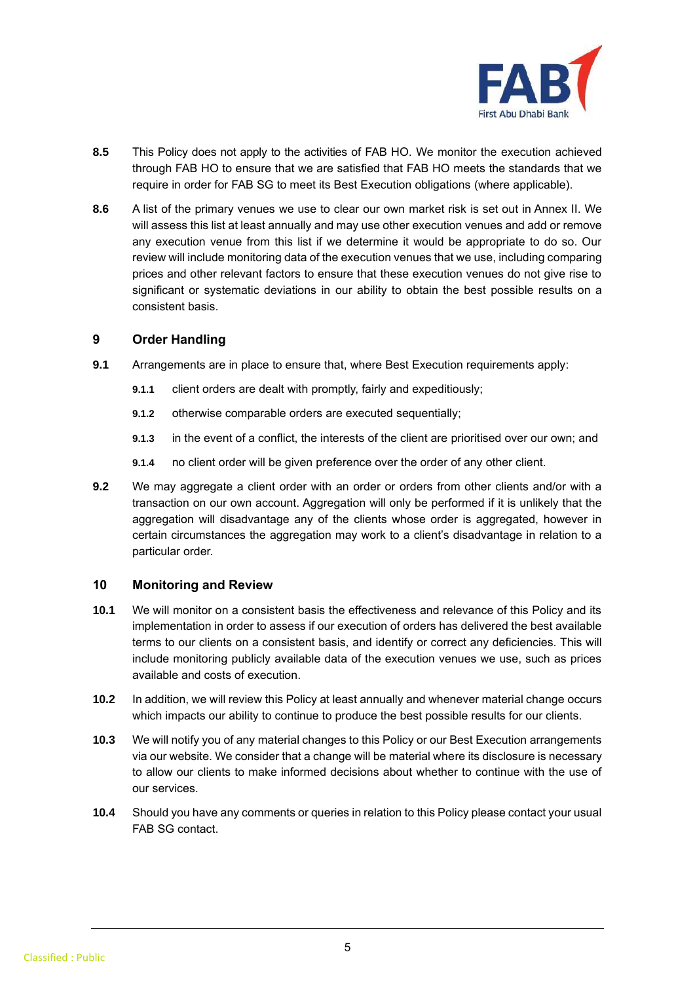

- **8.5** This Policy does not apply to the activities of FAB HO. We monitor the execution achieved through FAB HO to ensure that we are satisfied that FAB HO meets the standards that we require in order for FAB SG to meet its Best Execution obligations (where applicable).
- **8.6** A list of the primary venues we use to clear our own market risk is set out in Annex II. We will assess this list at least annually and may use other execution venues and add or remove any execution venue from this list if we determine it would be appropriate to do so. Our review will include monitoring data of the execution venues that we use, including comparing prices and other relevant factors to ensure that these execution venues do not give rise to significant or systematic deviations in our ability to obtain the best possible results on a consistent basis.

#### **9 Order Handling**

- **9.1** Arrangements are in place to ensure that, where Best Execution requirements apply:
	- **9.1.1** client orders are dealt with promptly, fairly and expeditiously;
	- **9.1.2** otherwise comparable orders are executed sequentially;
	- **9.1.3** in the event of a conflict, the interests of the client are prioritised over our own; and
	- **9.1.4** no client order will be given preference over the order of any other client.
- **9.2** We may aggregate a client order with an order or orders from other clients and/or with a transaction on our own account. Aggregation will only be performed if it is unlikely that the aggregation will disadvantage any of the clients whose order is aggregated, however in certain circumstances the aggregation may work to a client's disadvantage in relation to a particular order.

#### **10 Monitoring and Review**

- **10.1** We will monitor on a consistent basis the effectiveness and relevance of this Policy and its implementation in order to assess if our execution of orders has delivered the best available terms to our clients on a consistent basis, and identify or correct any deficiencies. This will include monitoring publicly available data of the execution venues we use, such as prices available and costs of execution.
- **10.2** In addition, we will review this Policy at least annually and whenever material change occurs which impacts our ability to continue to produce the best possible results for our clients.
- **10.3** We will notify you of any material changes to this Policy or our Best Execution arrangements via our website. We consider that a change will be material where its disclosure is necessary to allow our clients to make informed decisions about whether to continue with the use of our services.
- **10.4** Should you have any comments or queries in relation to this Policy please contact your usual FAB SG contact.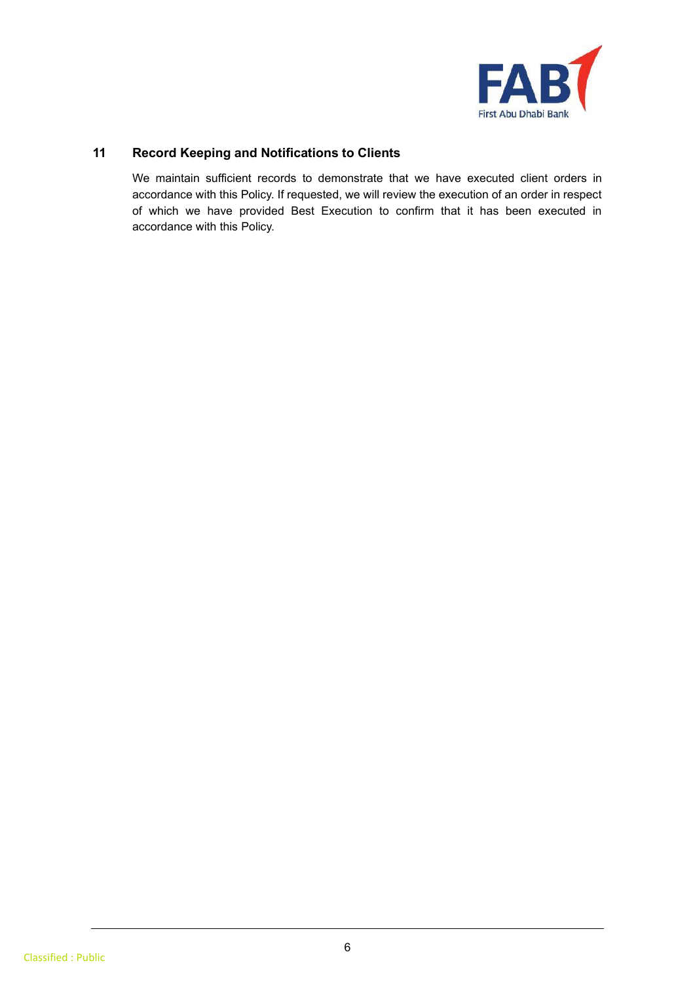

# **11 Record Keeping and Notifications to Clients**

We maintain sufficient records to demonstrate that we have executed client orders in accordance with this Policy. If requested, we will review the execution of an order in respect of which we have provided Best Execution to confirm that it has been executed in accordance with this Policy.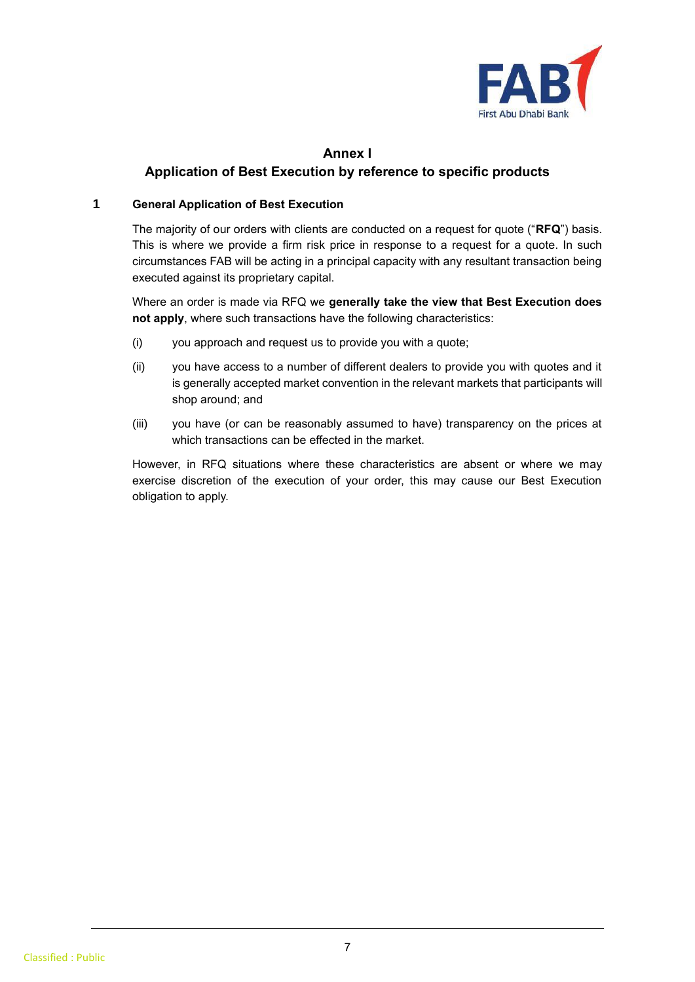

# **Annex I Application of Best Execution by reference to specific products**

#### **1 General Application of Best Execution**

The majority of our orders with clients are conducted on a request for quote ("**RFQ**") basis. This is where we provide a firm risk price in response to a request for a quote. In such circumstances FAB will be acting in a principal capacity with any resultant transaction being executed against its proprietary capital.

Where an order is made via RFQ we **generally take the view that Best Execution does not apply**, where such transactions have the following characteristics:

- (i) you approach and request us to provide you with a quote;
- (ii) you have access to a number of different dealers to provide you with quotes and it is generally accepted market convention in the relevant markets that participants will shop around; and
- (iii) you have (or can be reasonably assumed to have) transparency on the prices at which transactions can be effected in the market.

However, in RFQ situations where these characteristics are absent or where we may exercise discretion of the execution of your order, this may cause our Best Execution obligation to apply.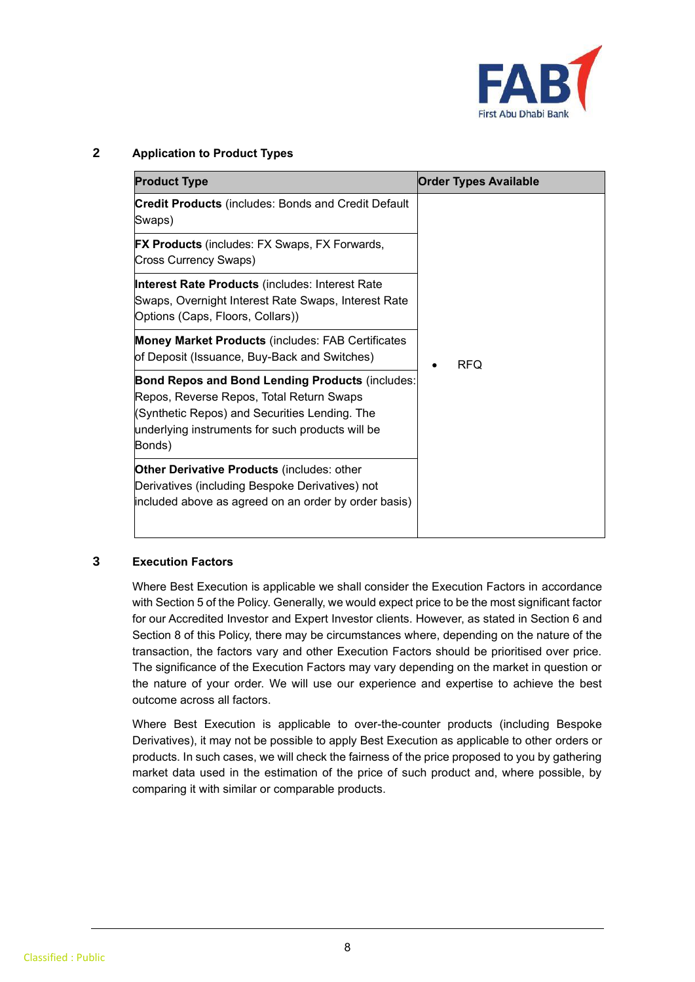

| <b>Product Type</b>                                                                                                                                                                                               | <b>Order Types Available</b> |
|-------------------------------------------------------------------------------------------------------------------------------------------------------------------------------------------------------------------|------------------------------|
| <b>Credit Products</b> (includes: Bonds and Credit Default<br>Swaps)                                                                                                                                              |                              |
| <b>FX Products</b> (includes: FX Swaps, FX Forwards,<br><b>Cross Currency Swaps)</b>                                                                                                                              |                              |
| <b>Interest Rate Products (includes: Interest Rate</b><br>Swaps, Overnight Interest Rate Swaps, Interest Rate<br>Options (Caps, Floors, Collars))                                                                 |                              |
| <b>Money Market Products (includes: FAB Certificates</b><br>of Deposit (Issuance, Buy-Back and Switches)                                                                                                          | <b>RFQ</b>                   |
| <b>Bond Repos and Bond Lending Products (includes:</b><br>Repos, Reverse Repos, Total Return Swaps<br>(Synthetic Repos) and Securities Lending. The<br>underlying instruments for such products will be<br>Bonds) |                              |
| Other Derivative Products (includes: other<br>Derivatives (including Bespoke Derivatives) not<br>included above as agreed on an order by order basis)                                                             |                              |

#### **2 Application to Product Types**

#### **3 Execution Factors**

Where Best Execution is applicable we shall consider the Execution Factors in accordance with Section 5 of the Policy. Generally, we would expect price to be the most significant factor for our Accredited Investor and Expert Investor clients. However, as stated in Section 6 and Section 8 of this Policy, there may be circumstances where, depending on the nature of the transaction, the factors vary and other Execution Factors should be prioritised over price. The significance of the Execution Factors may vary depending on the market in question or the nature of your order. We will use our experience and expertise to achieve the best outcome across all factors.

Where Best Execution is applicable to over-the-counter products (including Bespoke Derivatives), it may not be possible to apply Best Execution as applicable to other orders or products. In such cases, we will check the fairness of the price proposed to you by gathering market data used in the estimation of the price of such product and, where possible, by comparing it with similar or comparable products.